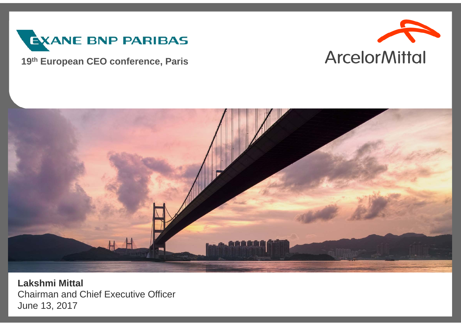

#### **19th European CEO conference, Paris**





**Lakshmi Mittal** Chairman and Chief Executive Officer June 13, 2017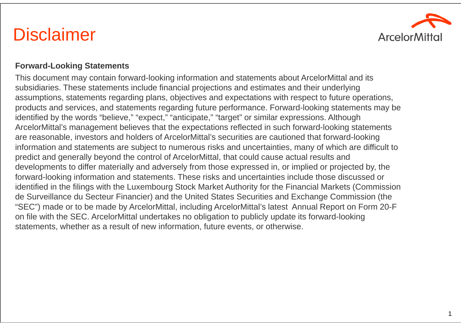### **Disclaimer**



#### **Forward-Looking Statements**

This document may contain forward-looking information and statements about ArcelorMittal and its subsidiaries. These statements include financial projections and estimates and their underlying assumptions, statements regarding plans, objectives and expectations with respect to future operations, products and services, and statements regarding future performance. Forward-looking statements may be identified by the words "believe," "expect," "anticipate," "target" or similar expressions. Although ArcelorMittal's management believes that the expectations reflected in such forward-looking statements are reasonable, investors and holders of ArcelorMittal's securities are cautioned that forward-looking information and statements are subject to numerous risks and uncertainties, many of which are difficult to predict and generally beyond the control of ArcelorMittal, that could cause actual results and developments to differ materially and adversely from those expressed in, or implied or projected by, the forward-looking information and statements. These risks and uncertainties include those discussed or identified in the filings with the Luxembourg Stock Market Authority for the Financial Markets (Commission de Surveillance du Secteur Financier) and the United States Securities and Exchange Commission (the "SEC") made or to be made by ArcelorMittal, including ArcelorMittal's latest Annual Report on Form 20-F on file with the SEC. ArcelorMittal undertakes no obligation to publicly update its forward-looking statements, whether as a result of new information, future events, or otherwise.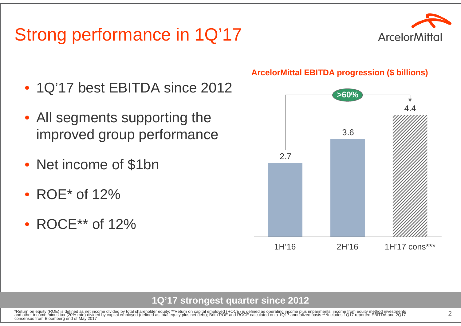# Strong performance in 1Q'17



- 1Q'17 best EBITDA since 2012
- All segments supporting the improved group performance
- Net income of \$1bn
- ROE\* of 12%
- ROCE\*\* of 12%

#### **ArcelorMittal EBITDA progression (\$ billions)**



**1Q'17 strongest quarter since 2012**

\*Return on equity (ROE) is defined as net income divided by total shareholder equity; \*\*Return on capital employed (ROCE) is defined as operating income plus impairments, income from equity method investments<br>and other inc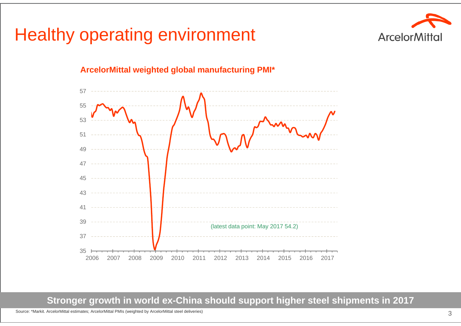## Healthy operating environment





#### **ArcelorMittal weighted global manufacturing PMI\***

**Stronger growth in world ex-China should support higher steel shipments in 2017**

Source: \*Markit. ArcelorMittal estimates; ArcelorMittal PMIs (weighted by ArcelorMittal steel deliveries)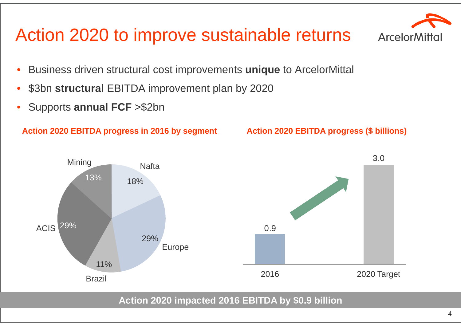# Action 2020 to improve sustainable returns

- •Business driven structural cost improvements **unique** to ArcelorMittal
- •\$3bn **structural** EBITDA improvement plan by 2020

Nafta

18%

•Supports **annual FCF** >\$2bn

13%

Mining

#### **Action 2020 EBITDA progress in 2016 by segment**

#### **Action 2020 EBITDA progress (\$ billions)**

3.0

**Action 2020 impacted 2016 EBITDA by \$0.9 billion** ACIS 29% Europe 29%Brazil 11%0.920162020 Target

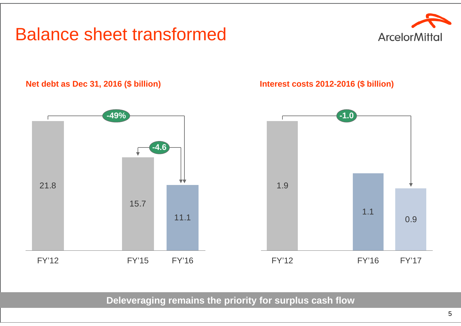## Balance sheet transformed



#### **Net debt as Dec 31, 2016 (\$ billion)**



#### **Interest costs 2012-2016 (\$ billion)**



**Deleveraging remains the priority for surplus cash flow**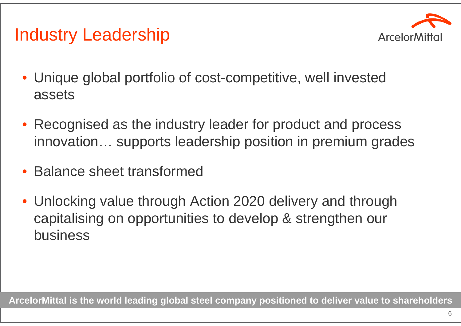

# Industry Leadership

- Unique global portfolio of cost-competitive, well invested assets
- Recognised as the industry leader for product and process innovation… supports leadership position in premium grades
- •Balance sheet transformed
- Unlocking value through Action 2020 delivery and through capitalising on opportunities to develop & strengthen our business

**ArcelorMittal is the world leading global steel company positioned to deliver value to shareholders**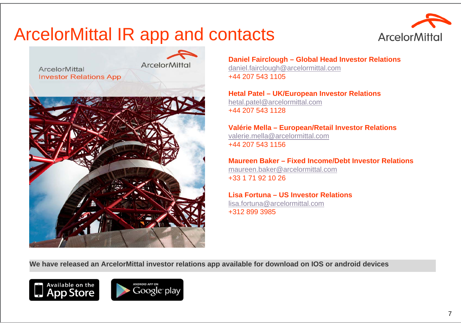## ArcelorMittal IR app and contacts





**Daniel Fairclough – Global Head Investor Relations** daniel.fairclough@arcelormittal.com +44 207 543 1105

**Hetal Patel – UK/European Investor Relations** hetal.patel@arcelormittal.com +44 207 543 1128

**Valérie Mella – European/Retail Investor Relations** valerie.mella@arcelormittal.com+44 207 543 1156

**Maureen Baker – Fixed Income/Debt Investor Relations**maureen.baker@arcelormittal.com +33 1 71 92 10 26

**Lisa Fortuna – US Investor Relations**lisa.fortuna@arcelormittal.com

+312 899 3985

**We have released an ArcelorMittal investor relations app available for download on IOS or android devices**